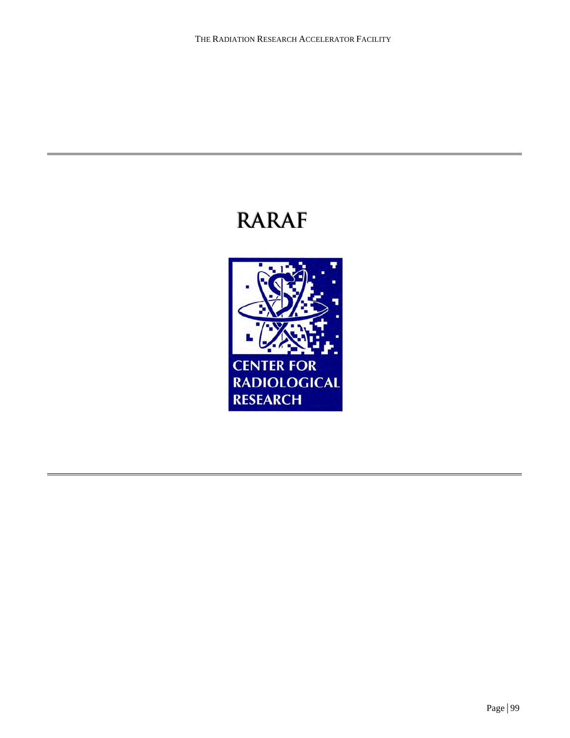# **RARAF**

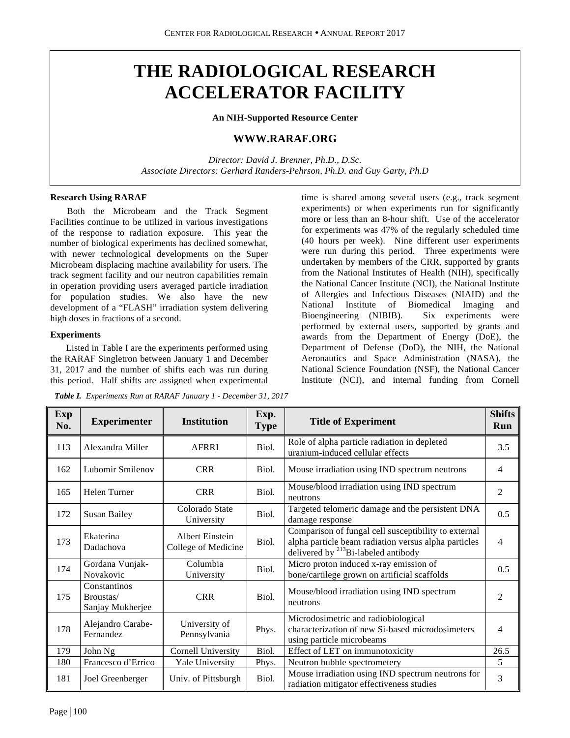# **THE RADIOLOGICAL RESEARCH ACCELERATOR FACILITY**

**An NIH-Supported Resource Center**

# **WWW.RARAF.ORG**

*Director: David J. Brenner, Ph.D., D.Sc. Associate Directors: Gerhard Randers-Pehrson, Ph.D. and Guy Garty, Ph.D*

#### **Research Using RARAF**

Both the Microbeam and the Track Segment Facilities continue to be utilized in various investigations of the response to radiation exposure. This year the number of biological experiments has declined somewhat, with newer technological developments on the Super Microbeam displacing machine availability for users. The track segment facility and our neutron capabilities remain in operation providing users averaged particle irradiation for population studies. We also have the new development of a "FLASH" irradiation system delivering high doses in fractions of a second.

#### **Experiments**

Listed in Table I are the experiments performed using the RARAF Singletron between January 1 and December 31, 2017 and the number of shifts each was run during this period. Half shifts are assigned when experimental

*Table I. Experiments Run at RARAF January 1 - December 31, 2017*

time is shared among several users (e.g., track segment experiments) or when experiments run for significantly more or less than an 8-hour shift. Use of the accelerator for experiments was 47% of the regularly scheduled time (40 hours per week). Nine different user experiments were run during this period. Three experiments were undertaken by members of the CRR, supported by grants from the National Institutes of Health (NIH), specifically the National Cancer Institute (NCI), the National Institute of Allergies and Infectious Diseases (NIAID) and the National Institute of Biomedical Imaging and Bioengineering (NIBIB). Six experiments were performed by external users, supported by grants and awards from the Department of Energy (DoE), the Department of Defense (DoD), the NIH, the National Aeronautics and Space Administration (NASA), the National Science Foundation (NSF), the National Cancer Institute (NCI), and internal funding from Cornell

| <b>Exp</b><br>No. | <b>Experimenter</b>                           | <b>Institution</b>                            | Exp.<br><b>Type</b> | <b>Title of Experiment</b>                                                                                                                                      | <b>Shifts</b><br>Run |
|-------------------|-----------------------------------------------|-----------------------------------------------|---------------------|-----------------------------------------------------------------------------------------------------------------------------------------------------------------|----------------------|
| 113               | Alexandra Miller                              | <b>AFRRI</b>                                  | Biol.               | Role of alpha particle radiation in depleted<br>uranium-induced cellular effects                                                                                | 3.5                  |
| 162               | Lubomir Smilenov                              | <b>CRR</b>                                    | Biol.               | Mouse irradiation using IND spectrum neutrons                                                                                                                   | 4                    |
| 165               | Helen Turner                                  | <b>CRR</b>                                    | Biol.               | Mouse/blood irradiation using IND spectrum<br>neutrons                                                                                                          | $\overline{2}$       |
| 172               | <b>Susan Bailey</b>                           | Colorado State<br>University                  | Biol.               | Targeted telomeric damage and the persistent DNA<br>damage response                                                                                             | 0.5                  |
| 173               | Ekaterina<br>Dadachova                        | <b>Albert Einstein</b><br>College of Medicine | Biol.               | Comparison of fungal cell susceptibility to external<br>alpha particle beam radiation versus alpha particles<br>delivered by <sup>213</sup> Bi-labeled antibody | $\overline{4}$       |
| 174               | Gordana Vunjak-<br>Novakovic                  | Columbia<br>University                        | Biol.               | Micro proton induced x-ray emission of<br>bone/cartilege grown on artificial scaffolds                                                                          | 0.5                  |
| 175               | Constantinos<br>Broustas/<br>Sanjay Mukherjee | <b>CRR</b>                                    | Biol.               | Mouse/blood irradiation using IND spectrum<br>neutrons                                                                                                          | $\overline{2}$       |
| 178               | Alejandro Carabe-<br>Fernandez                | University of<br>Pennsylvania                 | Phys.               | Microdosimetric and radiobiological<br>characterization of new Si-based microdosimeters<br>using particle microbeams                                            | $\overline{4}$       |
| 179               | John Ng                                       | Cornell University                            | Biol.               | Effect of LET on immunotoxicity                                                                                                                                 | 26.5                 |
| 180               | Francesco d'Errico                            | Yale University                               | Phys.               | Neutron bubble spectrometery                                                                                                                                    | 5                    |
| 181               | Joel Greenberger                              | Univ. of Pittsburgh                           | Biol.               | Mouse irradiation using IND spectrum neutrons for<br>radiation mitigator effectiveness studies                                                                  | 3                    |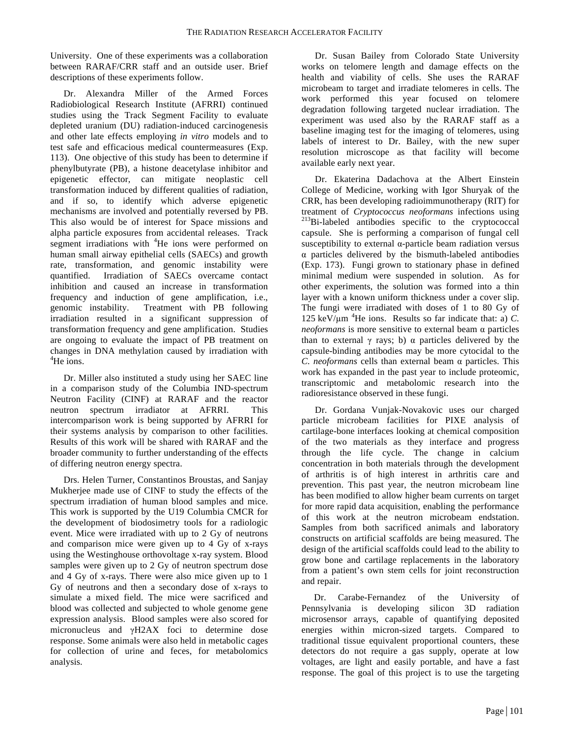University. One of these experiments was a collaboration between RARAF/CRR staff and an outside user. Brief descriptions of these experiments follow.

Dr. Alexandra Miller of the Armed Forces Radiobiological Research Institute (AFRRI) continued studies using the Track Segment Facility to evaluate depleted uranium (DU) radiation-induced carcinogenesis and other late effects employing *in vitro* models and to test safe and efficacious medical countermeasures (Exp. 113). One objective of this study has been to determine if phenylbutyrate (PB), a histone deacetylase inhibitor and epigenetic effector, can mitigate neoplastic cell transformation induced by different qualities of radiation, and if so, to identify which adverse epigenetic mechanisms are involved and potentially reversed by PB. This also would be of interest for Space missions and alpha particle exposures from accidental releases. Track segment irradiations with <sup>4</sup>He ions were performed on human small airway epithelial cells (SAECs) and growth rate, transformation, and genomic instability were quantified. Irradiation of SAECs overcame contact inhibition and caused an increase in transformation frequency and induction of gene amplification, i.e., genomic instability. Treatment with PB following irradiation resulted in a significant suppression of transformation frequency and gene amplification. Studies are ongoing to evaluate the impact of PB treatment on changes in DNA methylation caused by irradiation with 4 He ions.

Dr. Miller also instituted a study using her SAEC line in a comparison study of the Columbia IND-spectrum Neutron Facility (CINF) at RARAF and the reactor neutron spectrum irradiator at AFRRI. This intercomparison work is being supported by AFRRI for their systems analysis by comparison to other facilities. Results of this work will be shared with RARAF and the broader community to further understanding of the effects of differing neutron energy spectra.

Drs. Helen Turner, Constantinos Broustas, and Sanjay Mukherjee made use of CINF to study the effects of the spectrum irradiation of human blood samples and mice. This work is supported by the U19 Columbia CMCR for the development of biodosimetry tools for a radiologic event. Mice were irradiated with up to 2 Gy of neutrons and comparison mice were given up to 4 Gy of x-rays using the Westinghouse orthovoltage x-ray system. Blood samples were given up to 2 Gy of neutron spectrum dose and 4 Gy of x-rays. There were also mice given up to 1 Gy of neutrons and then a secondary dose of x-rays to simulate a mixed field. The mice were sacrificed and blood was collected and subjected to whole genome gene expression analysis. Blood samples were also scored for micronucleus and γH2AX foci to determine dose response. Some animals were also held in metabolic cages for collection of urine and feces, for metabolomics analysis.

Dr. Susan Bailey from Colorado State University works on telomere length and damage effects on the health and viability of cells. She uses the RARAF microbeam to target and irradiate telomeres in cells. The work performed this year focused on telomere degradation following targeted nuclear irradiation. The experiment was used also by the RARAF staff as a baseline imaging test for the imaging of telomeres, using labels of interest to Dr. Bailey, with the new super resolution microscope as that facility will become available early next year.

Dr. Ekaterina Dadachova at the Albert Einstein College of Medicine, working with Igor Shuryak of the CRR, has been developing radioimmunotherapy (RIT) for treatment of *Cryptococcus neoformans* infections using 213Bi-labeled antibodies specific to the cryptococcal capsule. She is performing a comparison of fungal cell susceptibility to external α-particle beam radiation versus α particles delivered by the bismuth-labeled antibodies (Exp. 173). Fungi grown to stationary phase in defined minimal medium were suspended in solution. As for other experiments, the solution was formed into a thin layer with a known uniform thickness under a cover slip. The fungi were irradiated with doses of 1 to 80 Gy of 125 keV/ $\mu$ m <sup>4</sup>He ions. Results so far indicate that: a) *C*. *neoformans* is more sensitive to external beam α particles than to external  $\gamma$  rays; b)  $\alpha$  particles delivered by the capsule-binding antibodies may be more cytocidal to the *C. neoformans* cells than external beam α particles. This work has expanded in the past year to include proteomic, transcriptomic and metabolomic research into the radioresistance observed in these fungi.

Dr. Gordana Vunjak-Novakovic uses our charged particle microbeam facilities for PIXE analysis of cartilage-bone interfaces looking at chemical composition of the two materials as they interface and progress through the life cycle. The change in calcium concentration in both materials through the development of arthritis is of high interest in arthritis care and prevention. This past year, the neutron microbeam line has been modified to allow higher beam currents on target for more rapid data acquisition, enabling the performance of this work at the neutron microbeam endstation. Samples from both sacrificed animals and laboratory constructs on artificial scaffolds are being measured. The design of the artificial scaffolds could lead to the ability to grow bone and cartilage replacements in the laboratory from a patient's own stem cells for joint reconstruction and repair.

Dr. Carabe-Fernandez of the University of Pennsylvania is developing silicon 3D radiation microsensor arrays, capable of quantifying deposited energies within micron-sized targets. Compared to traditional tissue equivalent proportional counters, these detectors do not require a gas supply, operate at low voltages, are light and easily portable, and have a fast response. The goal of this project is to use the targeting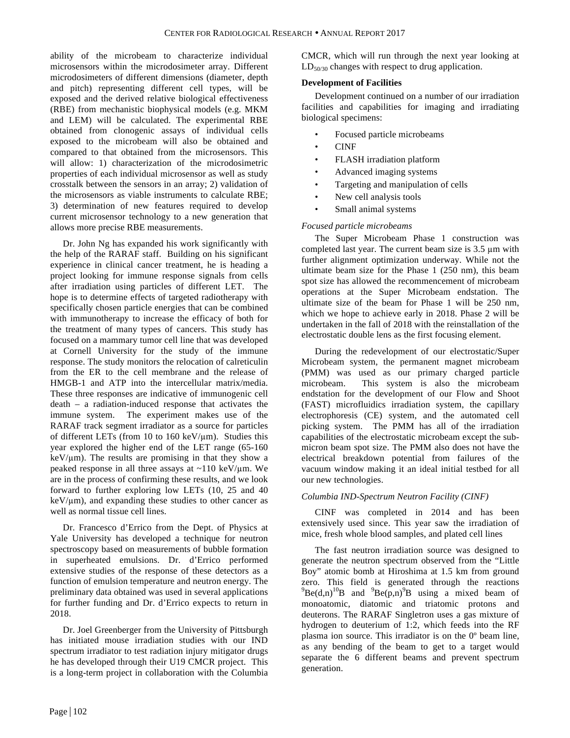ability of the microbeam to characterize individual microsensors within the microdosimeter array. Different microdosimeters of different dimensions (diameter, depth and pitch) representing different cell types, will be exposed and the derived relative biological effectiveness (RBE) from mechanistic biophysical models (e.g. MKM and LEM) will be calculated. The experimental RBE obtained from clonogenic assays of individual cells exposed to the microbeam will also be obtained and compared to that obtained from the microsensors. This will allow: 1) characterization of the microdosimetric properties of each individual microsensor as well as study crosstalk between the sensors in an array; 2) validation of the microsensors as viable instruments to calculate RBE; 3) determination of new features required to develop current microsensor technology to a new generation that allows more precise RBE measurements.

Dr. John Ng has expanded his work significantly with the help of the RARAF staff. Building on his significant experience in clinical cancer treatment, he is heading a project looking for immune response signals from cells after irradiation using particles of different LET. The hope is to determine effects of targeted radiotherapy with specifically chosen particle energies that can be combined with immunotherapy to increase the efficacy of both for the treatment of many types of cancers. This study has focused on a mammary tumor cell line that was developed at Cornell University for the study of the immune response. The study monitors the relocation of calreticulin from the ER to the cell membrane and the release of HMGB-1 and ATP into the intercellular matrix/media. These three responses are indicative of immunogenic cell death – a radiation-induced response that activates the immune system. The experiment makes use of the RARAF track segment irradiator as a source for particles of different LETs (from 10 to 160 keV/ $\mu$ m). Studies this year explored the higher end of the LET range (65-160  $keV/\mu$ m). The results are promising in that they show a peaked response in all three assays at ~110 keV/µm. We are in the process of confirming these results, and we look forward to further exploring low LETs (10, 25 and 40  $keV/\mu$ m), and expanding these studies to other cancer as well as normal tissue cell lines.

Dr. Francesco d'Errico from the Dept. of Physics at Yale University has developed a technique for neutron spectroscopy based on measurements of bubble formation in superheated emulsions. Dr. d'Errico performed extensive studies of the response of these detectors as a function of emulsion temperature and neutron energy. The preliminary data obtained was used in several applications for further funding and Dr. d'Errico expects to return in 2018.

Dr. Joel Greenberger from the University of Pittsburgh has initiated mouse irradiation studies with our IND spectrum irradiator to test radiation injury mitigator drugs he has developed through their U19 CMCR project. This is a long-term project in collaboration with the Columbia CMCR, which will run through the next year looking at LD<sub>50/30</sub> changes with respect to drug application.

#### **Development of Facilities**

Development continued on a number of our irradiation facilities and capabilities for imaging and irradiating biological specimens:

- Focused particle microbeams
- CINF
- FLASH irradiation platform
- Advanced imaging systems
- Targeting and manipulation of cells
- New cell analysis tools
- Small animal systems

### *Focused particle microbeams*

The Super Microbeam Phase 1 construction was completed last year. The current beam size is 3.5 µm with further alignment optimization underway. While not the ultimate beam size for the Phase 1 (250 nm), this beam spot size has allowed the recommencement of microbeam operations at the Super Microbeam endstation. The ultimate size of the beam for Phase 1 will be 250 nm, which we hope to achieve early in 2018. Phase 2 will be undertaken in the fall of 2018 with the reinstallation of the electrostatic double lens as the first focusing element.

During the redevelopment of our electrostatic/Super Microbeam system, the permanent magnet microbeam (PMM) was used as our primary charged particle microbeam. This system is also the microbeam endstation for the development of our Flow and Shoot (FAST) microfluidics irradiation system, the capillary electrophoresis (CE) system, and the automated cell picking system. The PMM has all of the irradiation capabilities of the electrostatic microbeam except the submicron beam spot size. The PMM also does not have the electrical breakdown potential from failures of the vacuum window making it an ideal initial testbed for all our new technologies.

### *Columbia IND-Spectrum Neutron Facility (CINF)*

CINF was completed in 2014 and has been extensively used since. This year saw the irradiation of mice, fresh whole blood samples, and plated cell lines

The fast neutron irradiation source was designed to generate the neutron spectrum observed from the "Little Boy" atomic bomb at Hiroshima at 1.5 km from ground zero. This field is generated through the reactions  $^{9}$ Be(d,n)<sup>10</sup>B and  $^{9}$ Be(p,n)<sup>9</sup>B using a mixed beam of monoatomic, diatomic and triatomic protons and deuterons. The RARAF Singletron uses a gas mixture of hydrogen to deuterium of 1:2, which feeds into the RF plasma ion source. This irradiator is on the 0º beam line, as any bending of the beam to get to a target would separate the 6 different beams and prevent spectrum generation.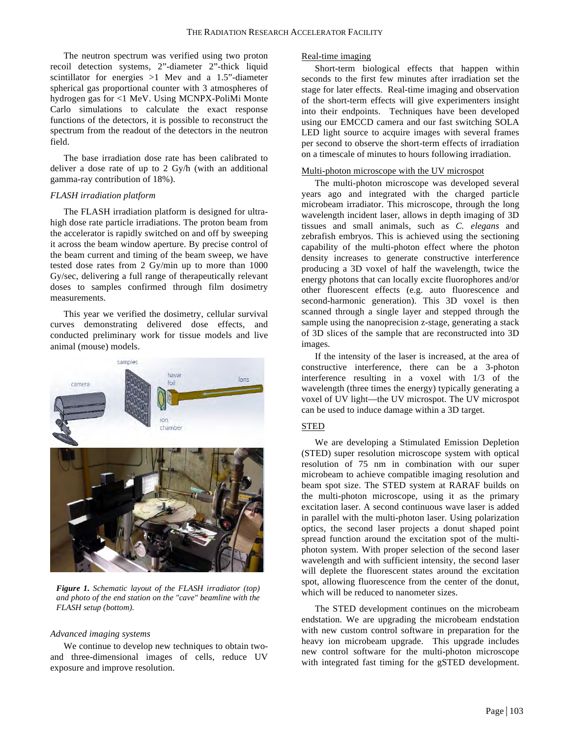The neutron spectrum was verified using two proton recoil detection systems, 2"-diameter 2"-thick liquid scintillator for energies >1 Mev and a 1.5"-diameter spherical gas proportional counter with 3 atmospheres of hydrogen gas for <1 MeV. Using MCNPX-PoliMi Monte Carlo simulations to calculate the exact response functions of the detectors, it is possible to reconstruct the spectrum from the readout of the detectors in the neutron field.

The base irradiation dose rate has been calibrated to deliver a dose rate of up to 2 Gy/h (with an additional gamma-ray contribution of 18%).

#### *FLASH irradiation platform*

The FLASH irradiation platform is designed for ultrahigh dose rate particle irradiations. The proton beam from the accelerator is rapidly switched on and off by sweeping it across the beam window aperture. By precise control of the beam current and timing of the beam sweep, we have tested dose rates from 2 Gy/min up to more than 1000 Gy/sec, delivering a full range of therapeutically relevant doses to samples confirmed through film dosimetry measurements.

This year we verified the dosimetry, cellular survival curves demonstrating delivered dose effects, and conducted preliminary work for tissue models and live animal (mouse) models.



*Figure 1. Schematic layout of the FLASH irradiator (top) and photo of the end station on the "cave" beamline with the FLASH setup (bottom).*

#### *Advanced imaging systems*

We continue to develop new techniques to obtain twoand three-dimensional images of cells, reduce UV exposure and improve resolution.

#### Real-time imaging

Short-term biological effects that happen within seconds to the first few minutes after irradiation set the stage for later effects. Real-time imaging and observation of the short-term effects will give experimenters insight into their endpoints. Techniques have been developed using our EMCCD camera and our fast switching SOLA LED light source to acquire images with several frames per second to observe the short-term effects of irradiation on a timescale of minutes to hours following irradiation.

#### Multi-photon microscope with the UV microspot

The multi-photon microscope was developed several years ago and integrated with the charged particle microbeam irradiator. This microscope, through the long wavelength incident laser, allows in depth imaging of 3D tissues and small animals, such as *C. elegans* and zebrafish embryos. This is achieved using the sectioning capability of the multi-photon effect where the photon density increases to generate constructive interference producing a 3D voxel of half the wavelength, twice the energy photons that can locally excite fluorophores and/or other fluorescent effects (e.g. auto fluorescence and second-harmonic generation). This 3D voxel is then scanned through a single layer and stepped through the sample using the nanoprecision z-stage, generating a stack of 3D slices of the sample that are reconstructed into 3D images.

If the intensity of the laser is increased, at the area of constructive interference, there can be a 3-photon interference resulting in a voxel with 1/3 of the wavelength (three times the energy) typically generating a voxel of UV light—the UV microspot. The UV microspot can be used to induce damage within a 3D target.

#### STED

We are developing a Stimulated Emission Depletion (STED) super resolution microscope system with optical resolution of 75 nm in combination with our super microbeam to achieve compatible imaging resolution and beam spot size. The STED system at RARAF builds on the multi-photon microscope, using it as the primary excitation laser. A second continuous wave laser is added in parallel with the multi-photon laser. Using polarization optics, the second laser projects a donut shaped point spread function around the excitation spot of the multiphoton system. With proper selection of the second laser wavelength and with sufficient intensity, the second laser will deplete the fluorescent states around the excitation spot, allowing fluorescence from the center of the donut, which will be reduced to nanometer sizes.

The STED development continues on the microbeam endstation. We are upgrading the microbeam endstation with new custom control software in preparation for the heavy ion microbeam upgrade. This upgrade includes new control software for the multi-photon microscope with integrated fast timing for the gSTED development.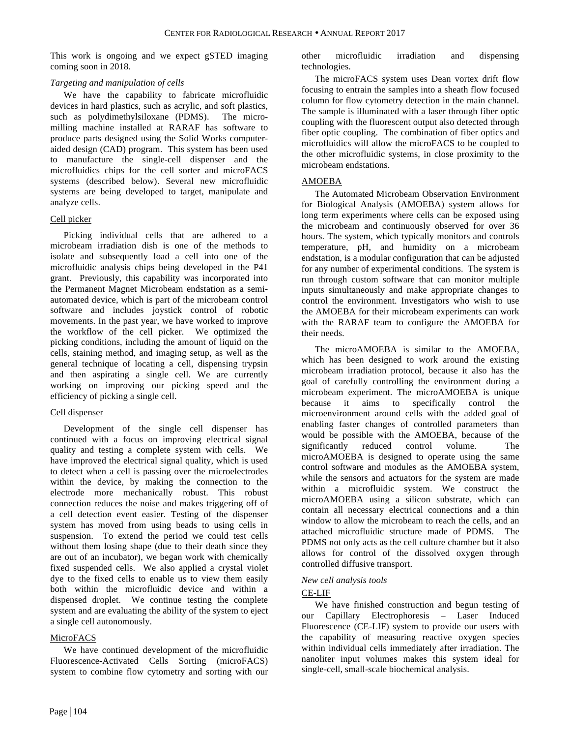This work is ongoing and we expect gSTED imaging coming soon in 2018.

#### *Targeting and manipulation of cells*

We have the capability to fabricate microfluidic devices in hard plastics, such as acrylic, and soft plastics, such as polydimethylsiloxane (PDMS). The micromilling machine installed at RARAF has software to produce parts designed using the Solid Works computeraided design (CAD) program. This system has been used to manufacture the single-cell dispenser and the microfluidics chips for the cell sorter and microFACS systems (described below). Several new microfluidic systems are being developed to target, manipulate and analyze cells.

# Cell picker

Picking individual cells that are adhered to a microbeam irradiation dish is one of the methods to isolate and subsequently load a cell into one of the microfluidic analysis chips being developed in the P41 grant. Previously, this capability was incorporated into the Permanent Magnet Microbeam endstation as a semiautomated device, which is part of the microbeam control software and includes joystick control of robotic movements. In the past year, we have worked to improve the workflow of the cell picker. We optimized the picking conditions, including the amount of liquid on the cells, staining method, and imaging setup, as well as the general technique of locating a cell, dispensing trypsin and then aspirating a single cell. We are currently working on improving our picking speed and the efficiency of picking a single cell.

# Cell dispenser

Development of the single cell dispenser has continued with a focus on improving electrical signal quality and testing a complete system with cells. We have improved the electrical signal quality, which is used to detect when a cell is passing over the microelectrodes within the device, by making the connection to the electrode more mechanically robust. This robust connection reduces the noise and makes triggering off of a cell detection event easier. Testing of the dispenser system has moved from using beads to using cells in suspension. To extend the period we could test cells without them losing shape (due to their death since they are out of an incubator), we began work with chemically fixed suspended cells. We also applied a crystal violet dye to the fixed cells to enable us to view them easily both within the microfluidic device and within a dispensed droplet. We continue testing the complete system and are evaluating the ability of the system to eject a single cell autonomously.

# MicroFACS

We have continued development of the microfluidic Fluorescence-Activated Cells Sorting (microFACS) system to combine flow cytometry and sorting with our

other microfluidic irradiation and dispensing technologies.

The microFACS system uses Dean vortex drift flow focusing to entrain the samples into a sheath flow focused column for flow cytometry detection in the main channel. The sample is illuminated with a laser through fiber optic coupling with the fluorescent output also detected through fiber optic coupling. The combination of fiber optics and microfluidics will allow the microFACS to be coupled to the other microfluidic systems, in close proximity to the microbeam endstations.

# AMOEBA

The Automated Microbeam Observation Environment for Biological Analysis (AMOEBA) system allows for long term experiments where cells can be exposed using the microbeam and continuously observed for over 36 hours. The system, which typically monitors and controls temperature, pH, and humidity on a microbeam endstation, is a modular configuration that can be adjusted for any number of experimental conditions. The system is run through custom software that can monitor multiple inputs simultaneously and make appropriate changes to control the environment. Investigators who wish to use the AMOEBA for their microbeam experiments can work with the RARAF team to configure the AMOEBA for their needs.

The microAMOEBA is similar to the AMOEBA, which has been designed to work around the existing microbeam irradiation protocol, because it also has the goal of carefully controlling the environment during a microbeam experiment. The microAMOEBA is unique because it aims to specifically control the microenvironment around cells with the added goal of enabling faster changes of controlled parameters than would be possible with the AMOEBA, because of the significantly reduced control volume. The microAMOEBA is designed to operate using the same control software and modules as the AMOEBA system, while the sensors and actuators for the system are made within a microfluidic system. We construct the microAMOEBA using a silicon substrate, which can contain all necessary electrical connections and a thin window to allow the microbeam to reach the cells, and an attached microfluidic structure made of PDMS. The PDMS not only acts as the cell culture chamber but it also allows for control of the dissolved oxygen through controlled diffusive transport.

### *New cell analysis tools*

# CE-LIF

We have finished construction and begun testing of our Capillary Electrophoresis – Laser Induced Fluorescence (CE-LIF) system to provide our users with the capability of measuring reactive oxygen species within individual cells immediately after irradiation. The nanoliter input volumes makes this system ideal for single-cell, small-scale biochemical analysis.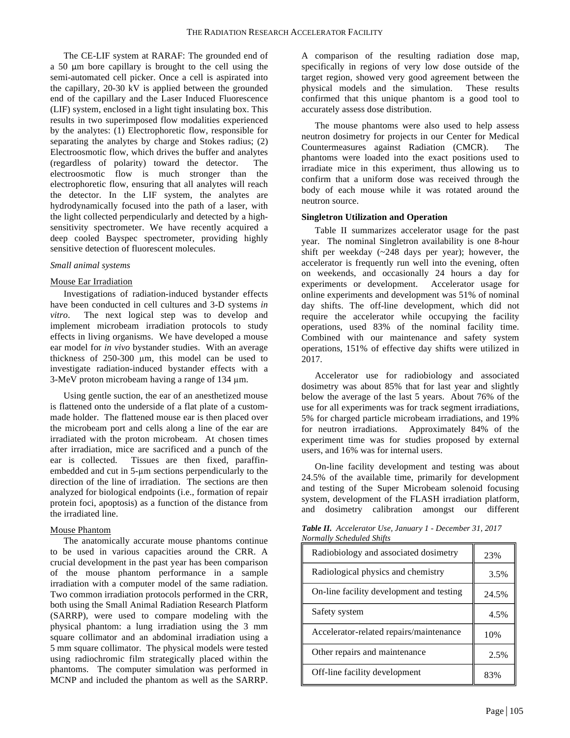The CE-LIF system at RARAF: The grounded end of a 50 µm bore capillary is brought to the cell using the semi-automated cell picker. Once a cell is aspirated into the capillary, 20-30 kV is applied between the grounded end of the capillary and the Laser Induced Fluorescence (LIF) system, enclosed in a light tight insulating box. This results in two superimposed flow modalities experienced by the analytes: (1) Electrophoretic flow, responsible for separating the analytes by charge and Stokes radius; (2) Electroosmotic flow, which drives the buffer and analytes (regardless of polarity) toward the detector. The electroosmotic flow is much stronger than the electrophoretic flow, ensuring that all analytes will reach the detector. In the LIF system, the analytes are hydrodynamically focused into the path of a laser, with the light collected perpendicularly and detected by a highsensitivity spectrometer. We have recently acquired a deep cooled Bayspec spectrometer, providing highly sensitive detection of fluorescent molecules.

#### *Small animal systems*

#### Mouse Ear Irradiation

Investigations of radiation-induced bystander effects have been conducted in cell cultures and 3-D systems *in vitro*. The next logical step was to develop and implement microbeam irradiation protocols to study effects in living organisms. We have developed a mouse ear model for *in vivo* bystander studies. With an average thickness of 250-300 µm, this model can be used to investigate radiation-induced bystander effects with a 3-MeV proton microbeam having a range of 134 µm.

Using gentle suction, the ear of an anesthetized mouse is flattened onto the underside of a flat plate of a custommade holder. The flattened mouse ear is then placed over the microbeam port and cells along a line of the ear are irradiated with the proton microbeam. At chosen times after irradiation, mice are sacrificed and a punch of the ear is collected. Tissues are then fixed, paraffinembedded and cut in 5-µm sections perpendicularly to the direction of the line of irradiation. The sections are then analyzed for biological endpoints (i.e., formation of repair protein foci, apoptosis) as a function of the distance from the irradiated line.

#### Mouse Phantom

The anatomically accurate mouse phantoms continue to be used in various capacities around the CRR. A crucial development in the past year has been comparison of the mouse phantom performance in a sample irradiation with a computer model of the same radiation. Two common irradiation protocols performed in the CRR, both using the Small Animal Radiation Research Platform (SARRP), were used to compare modeling with the physical phantom: a lung irradiation using the 3 mm square collimator and an abdominal irradiation using a 5 mm square collimator. The physical models were tested using radiochromic film strategically placed within the phantoms. The computer simulation was performed in MCNP and included the phantom as well as the SARRP.

A comparison of the resulting radiation dose map, specifically in regions of very low dose outside of the target region, showed very good agreement between the physical models and the simulation. These results confirmed that this unique phantom is a good tool to accurately assess dose distribution.

The mouse phantoms were also used to help assess neutron dosimetry for projects in our Center for Medical Countermeasures against Radiation (CMCR). The phantoms were loaded into the exact positions used to irradiate mice in this experiment, thus allowing us to confirm that a uniform dose was received through the body of each mouse while it was rotated around the neutron source.

#### **Singletron Utilization and Operation**

Table II summarizes accelerator usage for the past year. The nominal Singletron availability is one 8-hour shift per weekday (~248 days per year); however, the accelerator is frequently run well into the evening, often on weekends, and occasionally 24 hours a day for experiments or development. Accelerator usage for online experiments and development was 51% of nominal day shifts. The off-line development, which did not require the accelerator while occupying the facility operations, used 83% of the nominal facility time. Combined with our maintenance and safety system operations, 151% of effective day shifts were utilized in 2017.

Accelerator use for radiobiology and associated dosimetry was about 85% that for last year and slightly below the average of the last 5 years. About 76% of the use for all experiments was for track segment irradiations, 5% for charged particle microbeam irradiations, and 19% for neutron irradiations. Approximately 84% of the experiment time was for studies proposed by external users, and 16% was for internal users.

On-line facility development and testing was about 24.5% of the available time, primarily for development and testing of the Super Microbeam solenoid focusing system, development of the FLASH irradiation platform, and dosimetry calibration amongst our different

| <b>Table II.</b> Accelerator Use, January 1 - December 31, 2017 |
|-----------------------------------------------------------------|
| Normally Scheduled Shifts                                       |

| Radiobiology and associated dosimetry    | 23%   |
|------------------------------------------|-------|
| Radiological physics and chemistry       | 3.5%  |
| On-line facility development and testing | 24.5% |
| Safety system                            | 4.5%  |
| Accelerator-related repairs/maintenance  | 10%   |
| Other repairs and maintenance            | 2.5%  |
| Off-line facility development            | 83%   |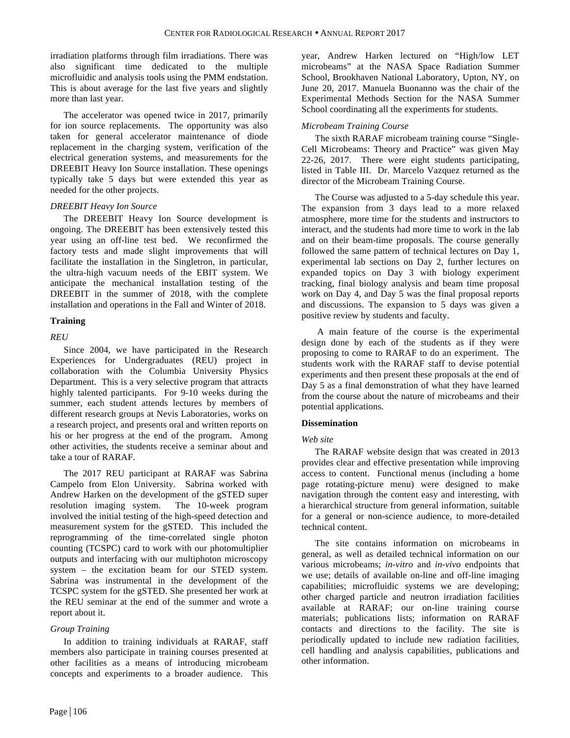irradiation platforms through film irradiations. There was also significant time dedicated to the multiple microfluidic and analysis tools using the PMM endstation. This is about average for the last five years and slightly more than last year.

The accelerator was opened twice in 2017, primarily for ion source replacements. The opportunity was also taken for general accelerator maintenance of diode replacement in the charging system, verification of the electrical generation systems, and measurements for the DREEBIT Heavy Ion Source installation. These openings typically take 5 days but were extended this year as needed for the other projects.

# *DREEBIT Heavy Ion Source*

The DREEBIT Heavy Ion Source development is ongoing. The DREEBIT has been extensively tested this year using an off-line test bed. We reconfirmed the factory tests and made slight improvements that will facilitate the installation in the Singletron, in particular, the ultra-high vacuum needs of the EBIT system. We anticipate the mechanical installation testing of the DREEBIT in the summer of 2018, with the complete installation and operations in the Fall and Winter of 2018.

# **Training**

# *REU*

Since 2004, we have participated in the Research Experiences for Undergraduates (REU) project in collaboration with the Columbia University Physics Department. This is a very selective program that attracts highly talented participants. For 9-10 weeks during the summer, each student attends lectures by members of different research groups at Nevis Laboratories, works on a research project, and presents oral and written reports on his or her progress at the end of the program. Among other activities, the students receive a seminar about and take a tour of RARAF.

The 2017 REU participant at RARAF was Sabrina Campelo from Elon University. Sabrina worked with Andrew Harken on the development of the gSTED super resolution imaging system. The 10-week program involved the initial testing of the high-speed detection and measurement system for the gSTED. This included the reprogramming of the time-correlated single photon counting (TCSPC) card to work with our photomultiplier outputs and interfacing with our multiphoton microscopy system – the excitation beam for our STED system. Sabrina was instrumental in the development of the TCSPC system for the gSTED. She presented her work at the REU seminar at the end of the summer and wrote a report about it.

### *Group Training*

In addition to training individuals at RARAF, staff members also participate in training courses presented at other facilities as a means of introducing microbeam concepts and experiments to a broader audience. This year, Andrew Harken lectured on "High/low LET microbeams" at the NASA Space Radiation Summer School, Brookhaven National Laboratory, Upton, NY, on June 20, 2017. Manuela Buonanno was the chair of the Experimental Methods Section for the NASA Summer School coordinating all the experiments for students.

# *Microbeam Training Course*

The sixth RARAF microbeam training course "Single-Cell Microbeams: Theory and Practice" was given May 22-26, 2017. There were eight students participating, listed in Table III. Dr. Marcelo Vazquez returned as the director of the Microbeam Training Course.

The Course was adjusted to a 5-day schedule this year. The expansion from 3 days lead to a more relaxed atmosphere, more time for the students and instructors to interact, and the students had more time to work in the lab and on their beam-time proposals. The course generally followed the same pattern of technical lectures on Day 1, experimental lab sections on Day 2, further lectures on expanded topics on Day 3 with biology experiment tracking, final biology analysis and beam time proposal work on Day 4, and Day 5 was the final proposal reports and discussions. The expansion to 5 days was given a positive review by students and faculty.

A main feature of the course is the experimental design done by each of the students as if they were proposing to come to RARAF to do an experiment. The students work with the RARAF staff to devise potential experiments and then present these proposals at the end of Day 5 as a final demonstration of what they have learned from the course about the nature of microbeams and their potential applications.

# **Dissemination**

### *Web site*

The RARAF website design that was created in 2013 provides clear and effective presentation while improving access to content. Functional menus (including a home page rotating-picture menu) were designed to make navigation through the content easy and interesting, with a hierarchical structure from general information, suitable for a general or non-science audience, to more-detailed technical content.

The site contains information on microbeams in general, as well as detailed technical information on our various microbeams; *in-vitro* and *in-vivo* endpoints that we use; details of available on-line and off-line imaging capabilities; microfluidic systems we are developing; other charged particle and neutron irradiation facilities available at RARAF; our on-line training course materials; publications lists; information on RARAF contacts and directions to the facility. The site is periodically updated to include new radiation facilities, cell handling and analysis capabilities, publications and other information.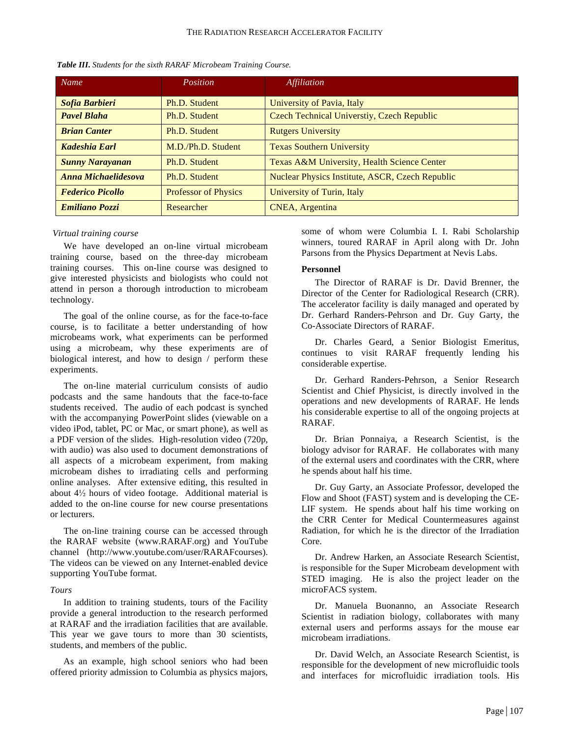| Name                    | Position                    | <i>Affiliation</i>                              |
|-------------------------|-----------------------------|-------------------------------------------------|
| Sofia Barbieri          | Ph.D. Student               | University of Pavia, Italy                      |
| <b>Pavel Blaha</b>      | Ph.D. Student               | Czech Technical Universtiy, Czech Republic      |
| <b>Brian Canter</b>     | Ph.D. Student               | <b>Rutgers University</b>                       |
| Kadeshia Earl           | M.D./Ph.D. Student          | <b>Texas Southern University</b>                |
| <b>Sunny Narayanan</b>  | Ph.D. Student               | Texas A&M University, Health Science Center     |
| Anna Michaelidesova     | Ph.D. Student               | Nuclear Physics Institute, ASCR, Czech Republic |
| <b>Federico Picollo</b> | <b>Professor of Physics</b> | University of Turin, Italy                      |
| <b>Emiliano Pozzi</b>   | Researcher                  | CNEA, Argentina                                 |

*Table III. Students for the sixth RARAF Microbeam Training Course.*

#### *Virtual training course*

We have developed an on-line virtual microbeam training course, based on the three-day microbeam training courses. This on-line course was designed to give interested physicists and biologists who could not attend in person a thorough introduction to microbeam technology.

The goal of the online course, as for the face-to-face course, is to facilitate a better understanding of how microbeams work, what experiments can be performed using a microbeam, why these experiments are of biological interest, and how to design / perform these experiments.

The on-line material curriculum consists of audio podcasts and the same handouts that the face-to-face students received. The audio of each podcast is synched with the accompanying PowerPoint slides (viewable on a video iPod, tablet, PC or Mac, or smart phone), as well as a PDF version of the slides. High-resolution video (720p, with audio) was also used to document demonstrations of all aspects of a microbeam experiment, from making microbeam dishes to irradiating cells and performing online analyses. After extensive editing, this resulted in about 4½ hours of video footage. Additional material is added to the on-line course for new course presentations or lecturers.

The on-line training course can be accessed through the RARAF website (www.RARAF.org) and YouTube channel (http://www.youtube.com/user/RARAFcourses). The videos can be viewed on any Internet-enabled device supporting YouTube format.

#### *Tours*

In addition to training students, tours of the Facility provide a general introduction to the research performed at RARAF and the irradiation facilities that are available. This year we gave tours to more than 30 scientists, students, and members of the public.

As an example, high school seniors who had been offered priority admission to Columbia as physics majors, some of whom were Columbia I. I. Rabi Scholarship winners, toured RARAF in April along with Dr. John Parsons from the Physics Department at Nevis Labs.

#### **Personnel**

The Director of RARAF is Dr. David Brenner, the Director of the Center for Radiological Research (CRR). The accelerator facility is daily managed and operated by Dr. Gerhard Randers-Pehrson and Dr. Guy Garty, the Co-Associate Directors of RARAF.

Dr. Charles Geard, a Senior Biologist Emeritus, continues to visit RARAF frequently lending his considerable expertise.

Dr. Gerhard Randers-Pehrson, a Senior Research Scientist and Chief Physicist, is directly involved in the operations and new developments of RARAF. He lends his considerable expertise to all of the ongoing projects at RARAF.

Dr. Brian Ponnaiya, a Research Scientist, is the biology advisor for RARAF. He collaborates with many of the external users and coordinates with the CRR, where he spends about half his time.

Dr. Guy Garty, an Associate Professor, developed the Flow and Shoot (FAST) system and is developing the CE-LIF system. He spends about half his time working on the CRR Center for Medical Countermeasures against Radiation, for which he is the director of the Irradiation Core.

Dr. Andrew Harken, an Associate Research Scientist, is responsible for the Super Microbeam development with STED imaging. He is also the project leader on the microFACS system.

Dr. Manuela Buonanno, an Associate Research Scientist in radiation biology, collaborates with many external users and performs assays for the mouse ear microbeam irradiations.

Dr. David Welch, an Associate Research Scientist, is responsible for the development of new microfluidic tools and interfaces for microfluidic irradiation tools. His